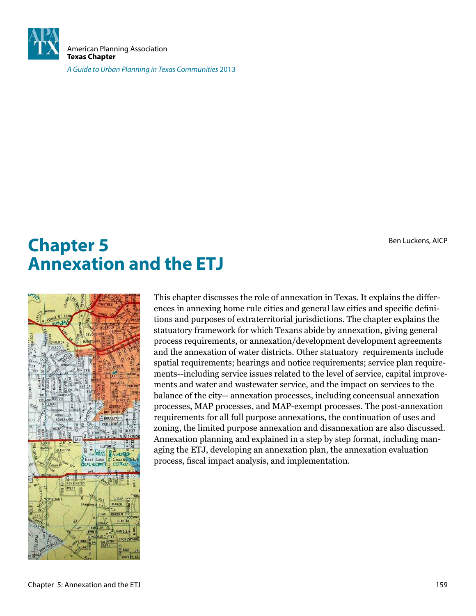

American Planning Association **Texas Chapter**

A Guide to Urban Planning in Texas Communities 2013

Ben Luckens, AICP

# **Chapter 5 Annexation and the ETJ**



This chapter discusses the role of annexation in Texas. It explains the differences in annexing home rule cities and general law cities and specific definitions and purposes of extraterritorial jurisdictions. The chapter explains the statuatory framework for which Texans abide by annexation, giving general process requirements, or annexation/development development agreements and the annexation of water districts. Other statuatory requirements include spatial requirements; hearings and notice requirements; service plan requirements--including service issues related to the level of service, capital improvements and water and wastewater service, and the impact on services to the balance of the city-- annexation processes, including concensual annexation processes, MAP processes, and MAP-exempt processes. The post-annexation requirements for all full purpose annexations, the continuation of uses and zoning, the limited purpose annexation and disannexation are also discussed. Annexation planning and explained in a step by step format, including managing the ETJ, developing an annexation plan, the annexation evaluation process, iscal impact analysis, and implementation.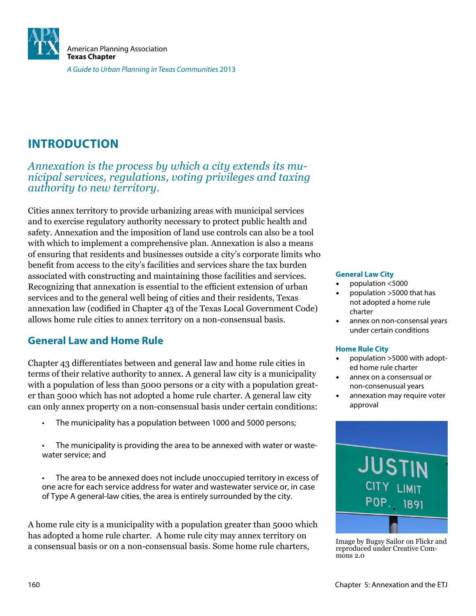

# **INTRODUCTION**

*Annexation is the process by which a city extends its municipal services, regulations, voting privileges and taxing authority to new territory.* 

Cities annex territory to provide urbanizing areas with municipal services and to exercise regulatory authority necessary to protect public health and safety. Annexation and the imposition of land use controls can also be a tool with which to implement a comprehensive plan. Annexation is also a means of ensuring that residents and businesses outside a city's corporate limits who benefit from access to the city's facilities and services share the tax burden associated with constructing and maintaining those facilities and services. Recognizing that annexation is essential to the eficient extension of urban services and to the general well being of cities and their residents, Texas annexation law (codified in Chapter 43 of the Texas Local Government Code) allows home rule cities to annex territory on a non-consensual basis.

# **General Law and Home Rule**

Chapter 43 differentiates between and general law and home rule cities in terms of their relative authority to annex. A general law city is a municipality with a population of less than 5000 persons or a city with a population greater than 5000 which has not adopted a home rule charter. A general law city can only annex property on a non-consensual basis under certain conditions:

- The municipality has a population between 1000 and 5000 persons;
- The municipality is providing the area to be annexed with water or wastewater service; and
- • The area to be annexed does not include unoccupied territory in excess of one acre for each service address for water and wastewater service or, in case of Type A general-law cities, the area is entirely surrounded by the city.

A home rule city is a municipality with a population greater than 5000 which has adopted a home rule charter. A home rule city may annex territory on a consensual basis or on a non-consensual basis. Some home rule charters, Image by Bugsy Sailor on Flickr and a consensual basis or on a non-consensual basis. Some home rule charters,

#### **General Law City**

- population <5000
- population  $>5000$  that has not adopted a home rule charter
- annex on non-consensal years under certain conditions

#### **Home Rule City**

- population >5000 with adopted home rule charter
- annex on a consensual or non-consenusual years
- annexation may require voter approval



reproduced under Creative Commons 2.0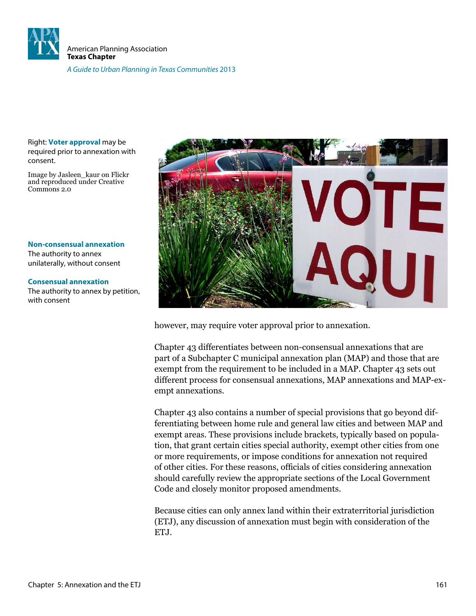

Right: **Voter approval** may be required prior to annexation with consent.

Image by Jasleen\_kaur on Flickr and reproduced under Creative Commons 2.0

**Non-consensual annexation** The authority to annex unilaterally, without consent

#### **Consensual annexation**

The authority to annex by petition, with consent



however, may require voter approval prior to annexation.

Chapter 43 differentiates between non-consensual annexations that are part of a Subchapter C municipal annexation plan (MAP) and those that are exempt from the requirement to be included in a MAP. Chapter 43 sets out different process for consensual annexations, MAP annexations and MAP-exempt annexations.

Chapter 43 also contains a number of special provisions that go beyond differentiating between home rule and general law cities and between MAP and exempt areas. These provisions include brackets, typically based on population, that grant certain cities special authority, exempt other cities from one or more requirements, or impose conditions for annexation not required of other cities. For these reasons, oficials of cities considering annexation should carefully review the appropriate sections of the Local Government Code and closely monitor proposed amendments.

Because cities can only annex land within their extraterritorial jurisdiction (ETJ), any discussion of annexation must begin with consideration of the ET.I.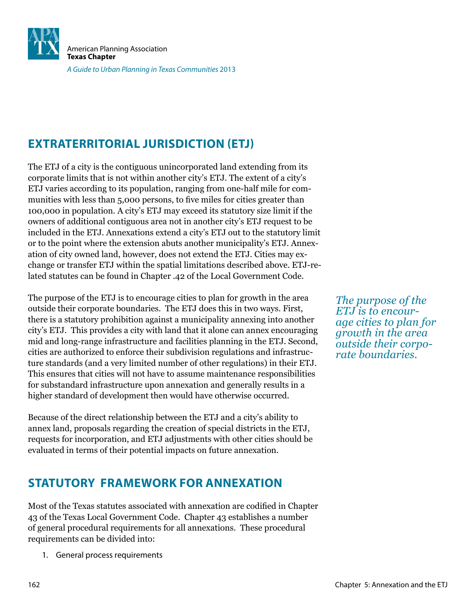

# **EXTRATERRITORIAL JURISDICTION (ETJ)**

The ETJ of a city is the contiguous unincorporated land extending from its corporate limits that is not within another city's ETJ. The extent of a city's ETJ varies according to its population, ranging from one-half mile for communities with less than 5,000 persons, to five miles for cities greater than 100,000 in population. A city's ETJ may exceed its statutory size limit if the owners of additional contiguous area not in another city's ETJ request to be included in the ETJ. Annexations extend a city's ETJ out to the statutory limit or to the point where the extension abuts another municipality's ETJ. Annexation of city owned land, however, does not extend the ETJ. Cities may exchange or transfer ETJ within the spatial limitations described above. ETJ-related statutes can be found in Chapter .42 of the Local Government Code.

The purpose of the ETJ is to encourage cities to plan for growth in the area outside their corporate boundaries. The ETJ does this in two ways. First, there is a statutory prohibition against a municipality annexing into another city's ETJ. This provides a city with land that it alone can annex encouraging mid and long-range infrastructure and facilities planning in the ETJ. Second, cities are authorized to enforce their subdivision regulations and infrastructure standards (and a very limited number of other regulations) in their ETJ. This ensures that cities will not have to assume maintenance responsibilities for substandard infrastructure upon annexation and generally results in a higher standard of development then would have otherwise occurred.

Because of the direct relationship between the ETJ and a city's ability to annex land, proposals regarding the creation of special districts in the ETJ, requests for incorporation, and ETJ adjustments with other cities should be evaluated in terms of their potential impacts on future annexation.

# **STATUTORY FRAMEWORK FOR ANNEXATION**

Most of the Texas statutes associated with annexation are codified in Chapter 43 of the Texas Local Government Code. Chapter 43 establishes a number of general procedural requirements for all annexations. These procedural requirements can be divided into:

1. General process requirements

*The purpose of the ETJ is to encourage cities to plan for growth in the area outside their corporate boundaries.*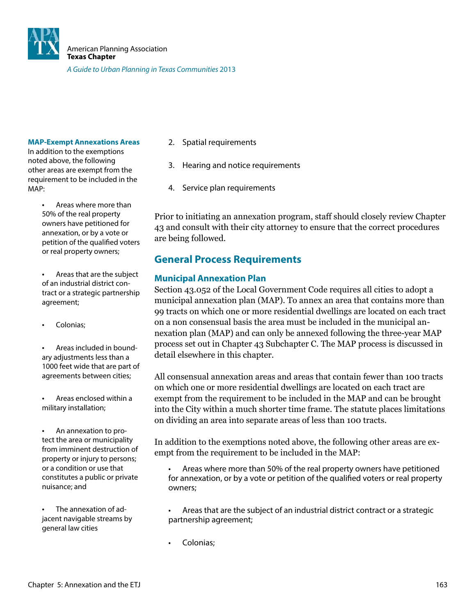

#### **MAP-Exempt Annexations Areas**

In addition to the exemptions noted above, the following other areas are exempt from the requirement to be included in the MAP:

- Areas where more than 50% of the real property owners have petitioned for annexation, or by a vote or petition of the qualified voters or real property owners;
- Areas that are the subject of an industrial district contract or a strategic partnership agreement;
- Colonias;
- Areas included in boundary adjustments less than a 1000 feet wide that are part of agreements between cities;
- Areas enclosed within a military installation;
- An annexation to protect the area or municipality from imminent destruction of property or injury to persons; or a condition or use that constitutes a public or private nuisance; and

The annexation of adjacent navigable streams by general law cities

- 2. Spatial requirements
- 3. Hearing and notice requirements
- 4. Service plan requirements

Prior to initiating an annexation program, staff should closely review Chapter 43 and consult with their city attorney to ensure that the correct procedures are being followed.

# **General Process Requirements**

#### **Municipal Annexation Plan**

Section 43.052 of the Local Government Code requires all cities to adopt a municipal annexation plan (MAP). To annex an area that contains more than 99 tracts on which one or more residential dwellings are located on each tract on a non consensual basis the area must be included in the municipal annexation plan (MAP) and can only be annexed following the three-year MAP process set out in Chapter 43 Subchapter C. The MAP process is discussed in detail elsewhere in this chapter.

All consensual annexation areas and areas that contain fewer than 100 tracts on which one or more residential dwellings are located on each tract are exempt from the requirement to be included in the MAP and can be brought into the City within a much shorter time frame. The statute places limitations on dividing an area into separate areas of less than 100 tracts.

In addition to the exemptions noted above, the following other areas are exempt from the requirement to be included in the MAP:

Areas where more than 50% of the real property owners have petitioned for annexation, or by a vote or petition of the qualified voters or real property owners;

- Areas that are the subject of an industrial district contract or a strategic partnership agreement;
- Colonias;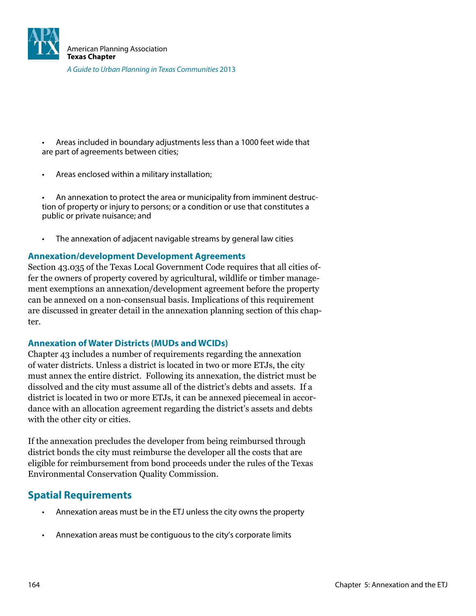

Areas included in boundary adjustments less than a 1000 feet wide that are part of agreements between cities;

Areas enclosed within a military installation;

An annexation to protect the area or municipality from imminent destruction of property or injury to persons; or a condition or use that constitutes a public or private nuisance; and

The annexation of adjacent navigable streams by general law cities

#### **Annexation/development Development Agreements**

Section 43.035 of the Texas Local Government Code requires that all cities offer the owners of property covered by agricultural, wildlife or timber management exemptions an annexation/development agreement before the property can be annexed on a non-consensual basis. Implications of this requirement are discussed in greater detail in the annexation planning section of this chapter.

#### **Annexation of Water Districts (MUDs and WCIDs)**

Chapter 43 includes a number of requirements regarding the annexation of water districts. Unless a district is located in two or more ETJs, the city must annex the entire district. Following its annexation, the district must be dissolved and the city must assume all of the district's debts and assets. If a district is located in two or more ETJs, it can be annexed piecemeal in accordance with an allocation agreement regarding the district's assets and debts with the other city or cities.

If the annexation precludes the developer from being reimbursed through district bonds the city must reimburse the developer all the costs that are eligible for reimbursement from bond proceeds under the rules of the Texas Environmental Conservation Quality Commission.

# **Spatial Requirements**

- Annexation areas must be in the ETJ unless the city owns the property
- Annexation areas must be contiguous to the city's corporate limits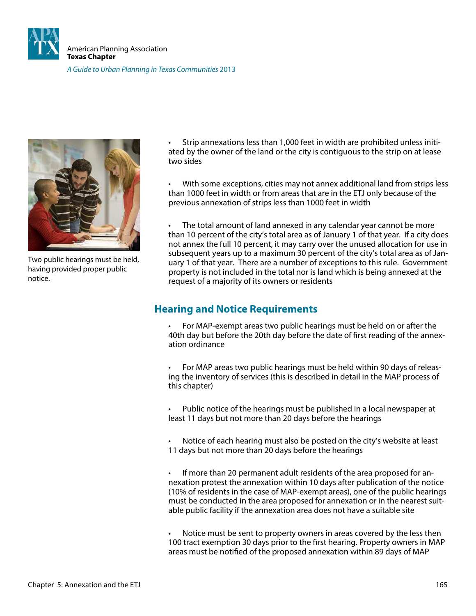



Two public hearings must be held, having provided proper public notice.

Strip annexations less than 1,000 feet in width are prohibited unless initiated by the owner of the land or the city is contiguous to the strip on at lease two sides

With some exceptions, cities may not annex additional land from strips less than 1000 feet in width or from areas that are in the ETJ only because of the previous annexation of strips less than 1000 feet in width

The total amount of land annexed in any calendar year cannot be more than 10 percent of the city's total area as of January 1 of that year. If a city does not annex the full 10 percent, it may carry over the unused allocation for use in subsequent years up to a maximum 30 percent of the city's total area as of January 1 of that year. There are a number of exceptions to this rule. Government property is not included in the total nor is land which is being annexed at the request of a majority of its owners or residents

# **Hearing and Notice Requirements**

For MAP-exempt areas two public hearings must be held on or after the 40th day but before the 20th day before the date of first reading of the annexation ordinance

For MAP areas two public hearings must be held within 90 days of releasing the inventory of services (this is described in detail in the MAP process of this chapter)

Public notice of the hearings must be published in a local newspaper at least 11 days but not more than 20 days before the hearings

Notice of each hearing must also be posted on the city's website at least 11 days but not more than 20 days before the hearings

If more than 20 permanent adult residents of the area proposed for annexation protest the annexation within 10 days after publication of the notice (10% of residents in the case of MAP-exempt areas), one of the public hearings must be conducted in the area proposed for annexation or in the nearest suitable public facility if the annexation area does not have a suitable site

Notice must be sent to property owners in areas covered by the less then 100 tract exemption 30 days prior to the first hearing. Property owners in MAP areas must be notified of the proposed annexation within 89 days of MAP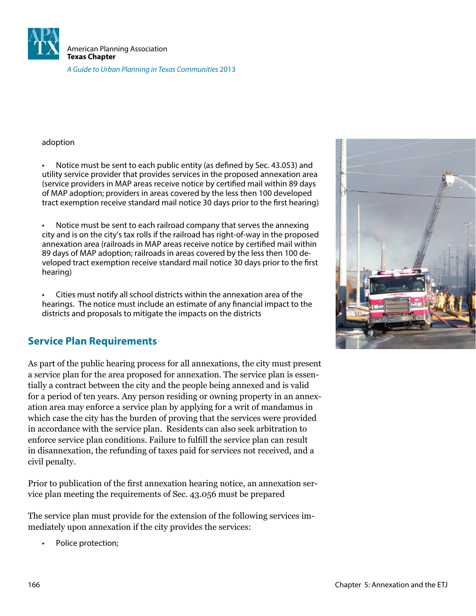

adoption

Notice must be sent to each public entity (as defined by Sec. 43.053) and utility service provider that provides services in the proposed annexation area (service providers in MAP areas receive notice by certified mail within 89 days of MAP adoption; providers in areas covered by the less then 100 developed tract exemption receive standard mail notice 30 days prior to the first hearing)

Notice must be sent to each railroad company that serves the annexing city and is on the city's tax rolls if the railroad has right-of-way in the proposed annexation area (railroads in MAP areas receive notice by certified mail within 89 days of MAP adoption; railroads in areas covered by the less then 100 developed tract exemption receive standard mail notice 30 days prior to the irst hearing)

Cities must notify all school districts within the annexation area of the hearings. The notice must include an estimate of any financial impact to the districts and proposals to mitigate the impacts on the districts

# **Service Plan Requirements**

As part of the public hearing process for all annexations, the city must present a service plan for the area proposed for annexation. The service plan is essentially a contract between the city and the people being annexed and is valid for a period of ten years. Any person residing or owning property in an annexation area may enforce a service plan by applying for a writ of mandamus in which case the city has the burden of proving that the services were provided in accordance with the service plan. Residents can also seek arbitration to enforce service plan conditions. Failure to fulill the service plan can result in disannexation, the refunding of taxes paid for services not received, and a civil penalty.

Prior to publication of the irst annexation hearing notice, an annexation service plan meeting the requirements of Sec. 43.056 must be prepared

The service plan must provide for the extension of the following services immediately upon annexation if the city provides the services:

Police protection;

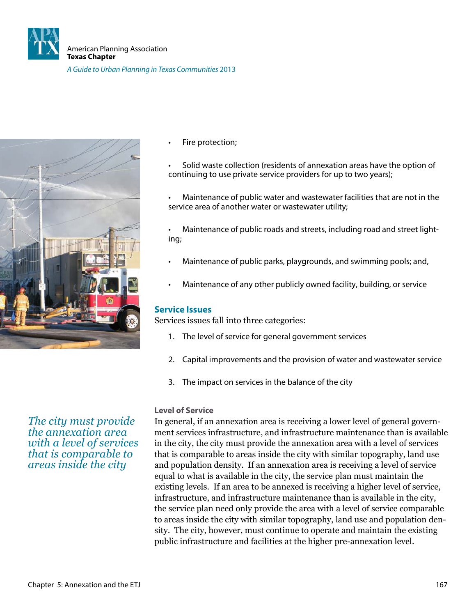



Fire protection;

Solid waste collection (residents of annexation areas have the option of continuing to use private service providers for up to two years);

Maintenance of public water and wastewater facilities that are not in the service area of another water or wastewater utility;

Maintenance of public roads and streets, including road and street lighting;

- Maintenance of public parks, playgrounds, and swimming pools; and,
- Maintenance of any other publicly owned facility, building, or service

#### **Service Issues**

Services issues fall into three categories:

- 1. The level of service for general government services
- 2. Capital improvements and the provision of water and wastewater service
- 3. The impact on services in the balance of the city

#### **Level of Service**

In general, if an annexation area is receiving a lower level of general government services infrastructure, and infrastructure maintenance than is available in the city, the city must provide the annexation area with a level of services that is comparable to areas inside the city with similar topography, land use and population density. If an annexation area is receiving a level of service equal to what is available in the city, the service plan must maintain the existing levels. If an area to be annexed is receiving a higher level of service, infrastructure, and infrastructure maintenance than is available in the city, the service plan need only provide the area with a level of service comparable to areas inside the city with similar topography, land use and population density. The city, however, must continue to operate and maintain the existing public infrastructure and facilities at the higher pre-annexation level.

*The city must provide the annexation area with a level of services that is comparable to areas inside the city*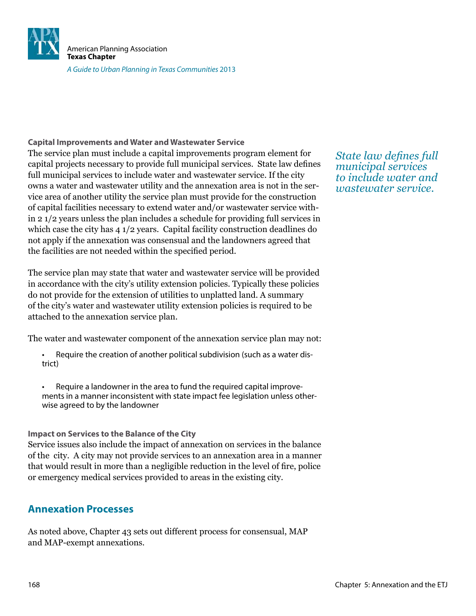

#### **Capital Improvements and Water and Wastewater Service**

The service plan must include a capital improvements program element for capital projects necessary to provide full municipal services. State law deines full municipal services to include water and wastewater service. If the city owns a water and wastewater utility and the annexation area is not in the service area of another utility the service plan must provide for the construction of capital facilities necessary to extend water and/or wastewater service within 2 1/2 years unless the plan includes a schedule for providing full services in which case the city has 4 1/2 years. Capital facility construction deadlines do not apply if the annexation was consensual and the landowners agreed that the facilities are not needed within the specified period.

The service plan may state that water and wastewater service will be provided in accordance with the city's utility extension policies. Typically these policies do not provide for the extension of utilities to unplatted land. A summary of the city's water and wastewater utility extension policies is required to be attached to the annexation service plan.

The water and wastewater component of the annexation service plan may not:

- Require the creation of another political subdivision (such as a water district)
- Require a landowner in the area to fund the required capital improvements in a manner inconsistent with state impact fee legislation unless otherwise agreed to by the landowner

#### **Impact on Services to the Balance of the City**

Service issues also include the impact of annexation on services in the balance of the city. A city may not provide services to an annexation area in a manner that would result in more than a negligible reduction in the level of ire, police or emergency medical services provided to areas in the existing city.

### **Annexation Processes**

As noted above, Chapter 43 sets out different process for consensual, MAP and MAP-exempt annexations.

*State law deines full municipal services to include water and wastewater service.*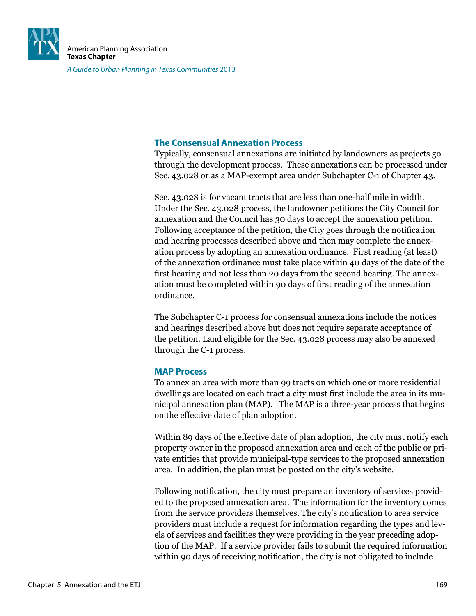

#### **The Consensual Annexation Process**

Typically, consensual annexations are initiated by landowners as projects go through the development process. These annexations can be processed under Sec. 43.028 or as a MAP-exempt area under Subchapter C-1 of Chapter 43.

Sec. 43.028 is for vacant tracts that are less than one-half mile in width. Under the Sec. 43.028 process, the landowner petitions the City Council for annexation and the Council has 30 days to accept the annexation petition. Following acceptance of the petition, the City goes through the notification and hearing processes described above and then may complete the annexation process by adopting an annexation ordinance. First reading (at least) of the annexation ordinance must take place within 40 days of the date of the first hearing and not less than 20 days from the second hearing. The annexation must be completed within 90 days of irst reading of the annexation ordinance.

The Subchapter C-1 process for consensual annexations include the notices and hearings described above but does not require separate acceptance of the petition. Land eligible for the Sec. 43.028 process may also be annexed through the C-1 process.

#### **MAP Process**

To annex an area with more than 99 tracts on which one or more residential dwellings are located on each tract a city must first include the area in its municipal annexation plan (MAP). The MAP is a three-year process that begins on the effective date of plan adoption.

Within 89 days of the effective date of plan adoption, the city must notify each property owner in the proposed annexation area and each of the public or private entities that provide municipal-type services to the proposed annexation area. In addition, the plan must be posted on the city's website.

Following notification, the city must prepare an inventory of services provided to the proposed annexation area. The information for the inventory comes from the service providers themselves. The city's notification to area service providers must include a request for information regarding the types and levels of services and facilities they were providing in the year preceding adoption of the MAP. If a service provider fails to submit the required information within 90 days of receiving notification, the city is not obligated to include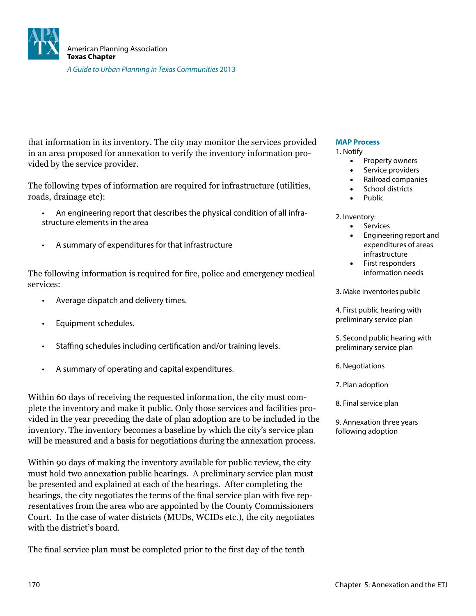

that information in its inventory. The city may monitor the services provided in an area proposed for annexation to verify the inventory information provided by the service provider.

The following types of information are required for infrastructure (utilities, roads, drainage etc):

- An engineering report that describes the physical condition of all infrastructure elements in the area
- A summary of expenditures for that infrastructure

The following information is required for ire, police and emergency medical services:

- Average dispatch and delivery times.
- Equipment schedules.
- Staffing schedules including certification and/or training levels.
- A summary of operating and capital expenditures.

Within 60 days of receiving the requested information, the city must complete the inventory and make it public. Only those services and facilities provided in the year preceding the date of plan adoption are to be included in the inventory. The inventory becomes a baseline by which the city's service plan will be measured and a basis for negotiations during the annexation process.

Within 90 days of making the inventory available for public review, the city must hold two annexation public hearings. A preliminary service plan must be presented and explained at each of the hearings. After completing the hearings, the city negotiates the terms of the final service plan with five representatives from the area who are appointed by the County Commissioners Court. In the case of water districts (MUDs, WCIDs etc.), the city negotiates with the district's board.

The final service plan must be completed prior to the first day of the tenth

#### **MAP Process**

#### 1. Notify

- Property owners
- Service providers
- Railroad companies
- School districts
- Public

2. Inventory:

- • Services
- Engineering report and expenditures of areas infrastructure
- First responders information needs
- 3. Make inventories public

4. First public hearing with preliminary service plan

5. Second public hearing with preliminary service plan

- 6. Negotiations
- 7. Plan adoption
- 8. Final service plan
- 9. Annexation three years following adoption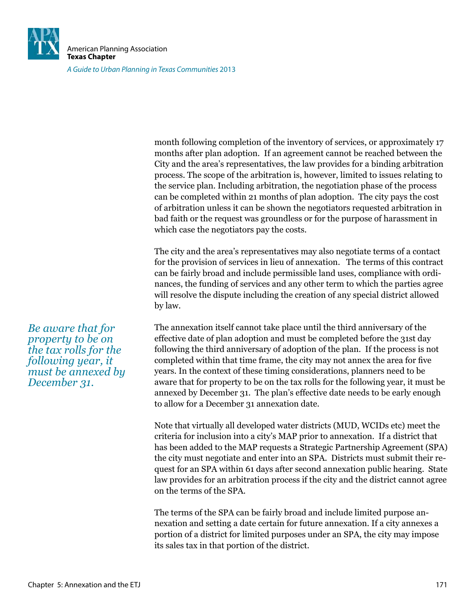

American Planning Association **Texas Chapter**

A Guide to Urban Planning in Texas Communities 2013

month following completion of the inventory of services, or approximately 17 months after plan adoption. If an agreement cannot be reached between the City and the area's representatives, the law provides for a binding arbitration process. The scope of the arbitration is, however, limited to issues relating to the service plan. Including arbitration, the negotiation phase of the process can be completed within 21 months of plan adoption. The city pays the cost of arbitration unless it can be shown the negotiators requested arbitration in bad faith or the request was groundless or for the purpose of harassment in which case the negotiators pay the costs.

The city and the area's representatives may also negotiate terms of a contact for the provision of services in lieu of annexation. The terms of this contract can be fairly broad and include permissible land uses, compliance with ordinances, the funding of services and any other term to which the parties agree will resolve the dispute including the creation of any special district allowed by law.

The annexation itself cannot take place until the third anniversary of the effective date of plan adoption and must be completed before the 31st day following the third anniversary of adoption of the plan. If the process is not completed within that time frame, the city may not annex the area for ive years. In the context of these timing considerations, planners need to be aware that for property to be on the tax rolls for the following year, it must be annexed by December 31. The plan's effective date needs to be early enough to allow for a December 31 annexation date.

Note that virtually all developed water districts (MUD, WCIDs etc) meet the criteria for inclusion into a city's MAP prior to annexation. If a district that has been added to the MAP requests a Strategic Partnership Agreement (SPA) the city must negotiate and enter into an SPA. Districts must submit their request for an SPA within 61 days after second annexation public hearing. State law provides for an arbitration process if the city and the district cannot agree on the terms of the SPA.

The terms of the SPA can be fairly broad and include limited purpose annexation and setting a date certain for future annexation. If a city annexes a portion of a district for limited purposes under an SPA, the city may impose its sales tax in that portion of the district.

*Be aware that for property to be on the tax rolls for the following year, it must be annexed by December 31.*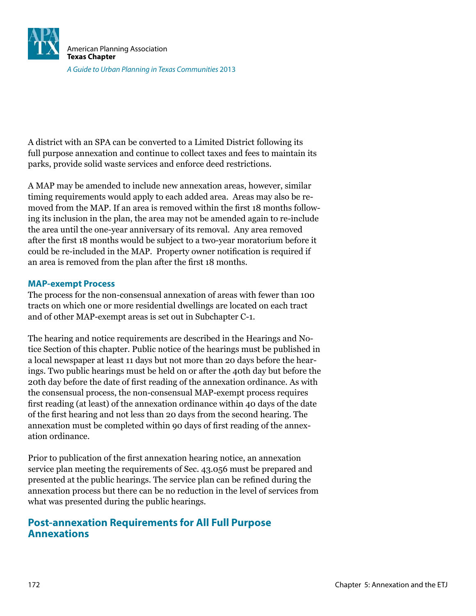

A district with an SPA can be converted to a Limited District following its full purpose annexation and continue to collect taxes and fees to maintain its parks, provide solid waste services and enforce deed restrictions.

A MAP may be amended to include new annexation areas, however, similar timing requirements would apply to each added area. Areas may also be removed from the MAP. If an area is removed within the first 18 months following its inclusion in the plan, the area may not be amended again to re-include the area until the one-year anniversary of its removal. Any area removed after the irst 18 months would be subject to a two-year moratorium before it could be re-included in the MAP. Property owner notification is required if an area is removed from the plan after the first 18 months.

#### **MAP-exempt Process**

The process for the non-consensual annexation of areas with fewer than 100 tracts on which one or more residential dwellings are located on each tract and of other MAP-exempt areas is set out in Subchapter C-1.

The hearing and notice requirements are described in the Hearings and Notice Section of this chapter. Public notice of the hearings must be published in a local newspaper at least 11 days but not more than 20 days before the hearings. Two public hearings must be held on or after the 40th day but before the 20th day before the date of irst reading of the annexation ordinance. As with the consensual process, the non-consensual MAP-exempt process requires first reading (at least) of the annexation ordinance within 40 days of the date of the irst hearing and not less than 20 days from the second hearing. The annexation must be completed within 90 days of irst reading of the annexation ordinance.

Prior to publication of the irst annexation hearing notice, an annexation service plan meeting the requirements of Sec. 43.056 must be prepared and presented at the public hearings. The service plan can be reined during the annexation process but there can be no reduction in the level of services from what was presented during the public hearings.

## **Post-annexation Requirements for All Full Purpose Annexations**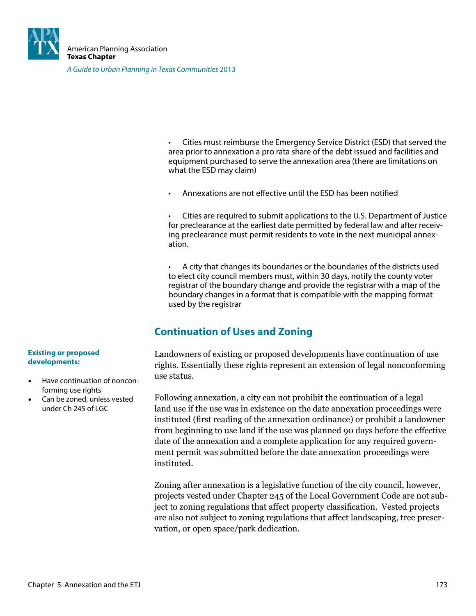

Cities must reimburse the Emergency Service District (ESD) that served the area prior to annexation a pro rata share of the debt issued and facilities and equipment purchased to serve the annexation area (there are limitations on what the ESD may claim)

Annexations are not effective until the ESD has been notified

Cities are required to submit applications to the U.S. Department of Justice for preclearance at the earliest date permitted by federal law and after receiving preclearance must permit residents to vote in the next municipal annexation.

A city that changes its boundaries or the boundaries of the districts used to elect city council members must, within 30 days, notify the county voter registrar of the boundary change and provide the registrar with a map of the boundary changes in a format that is compatible with the mapping format used by the registrar

# **Continuation of Uses and Zoning**

Landowners of existing or proposed developments have continuation of use rights. Essentially these rights represent an extension of legal nonconforming use status.

Following annexation, a city can not prohibit the continuation of a legal land use if the use was in existence on the date annexation proceedings were instituted (first reading of the annexation ordinance) or prohibit a landowner from beginning to use land if the use was planned 90 days before the effective date of the annexation and a complete application for any required government permit was submitted before the date annexation proceedings were instituted.

Zoning after annexation is a legislative function of the city council, however, projects vested under Chapter 245 of the Local Government Code are not subject to zoning regulations that affect property classification. Vested projects are also not subject to zoning regulations that affect landscaping, tree preservation, or open space/park dedication.

#### **Existing or proposed developments:**

- Have continuation of nonconforming use rights
- Can be zoned, unless vested under Ch 245 of LGC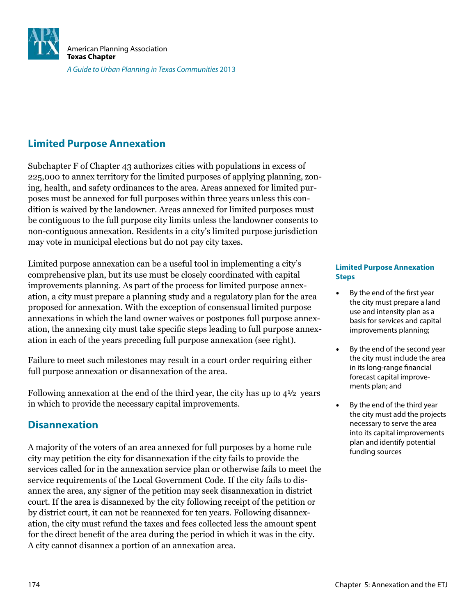

# **Limited Purpose Annexation**

Subchapter F of Chapter 43 authorizes cities with populations in excess of 225,000 to annex territory for the limited purposes of applying planning, zoning, health, and safety ordinances to the area. Areas annexed for limited purposes must be annexed for full purposes within three years unless this condition is waived by the landowner. Areas annexed for limited purposes must be contiguous to the full purpose city limits unless the landowner consents to non-contiguous annexation. Residents in a city's limited purpose jurisdiction may vote in municipal elections but do not pay city taxes.

Limited purpose annexation can be a useful tool in implementing a city's comprehensive plan, but its use must be closely coordinated with capital improvements planning. As part of the process for limited purpose annexation, a city must prepare a planning study and a regulatory plan for the area proposed for annexation. With the exception of consensual limited purpose annexations in which the land owner waives or postpones full purpose annexation, the annexing city must take speciic steps leading to full purpose annexation in each of the years preceding full purpose annexation (see right).

Failure to meet such milestones may result in a court order requiring either full purpose annexation or disannexation of the area.

Following annexation at the end of the third year, the city has up to 4½ years in which to provide the necessary capital improvements.

# **Disannexation**

A majority of the voters of an area annexed for full purposes by a home rule city may petition the city for disannexation if the city fails to provide the services called for in the annexation service plan or otherwise fails to meet the service requirements of the Local Government Code. If the city fails to disannex the area, any signer of the petition may seek disannexation in district court. If the area is disannexed by the city following receipt of the petition or by district court, it can not be reannexed for ten years. Following disannexation, the city must refund the taxes and fees collected less the amount spent for the direct benefit of the area during the period in which it was in the city. A city cannot disannex a portion of an annexation area.

#### **Limited Purpose Annexation Steps**

- By the end of the first year the city must prepare a land use and intensity plan as a basis for services and capital improvements planning;
- By the end of the second year the city must include the area in its long-range financial forecast capital improvements plan; and
- By the end of the third year the city must add the projects necessary to serve the area into its capital improvements plan and identify potential funding sources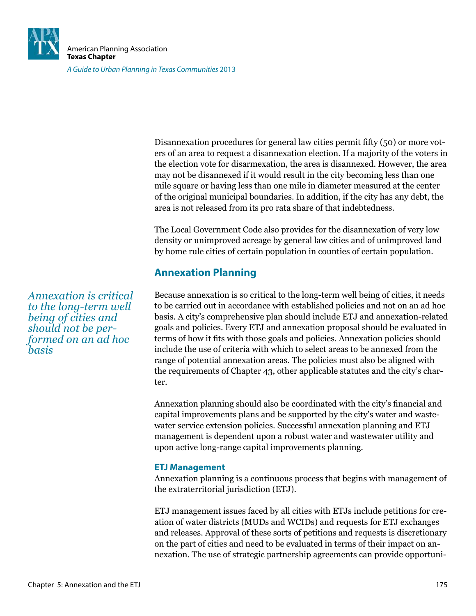

Disannexation procedures for general law cities permit ifty (50) or more voters of an area to request a disannexation election. If a majority of the voters in the election vote for disarmexation, the area is disannexed. However, the area may not be disannexed if it would result in the city becoming less than one mile square or having less than one mile in diameter measured at the center of the original municipal boundaries. In addition, if the city has any debt, the area is not released from its pro rata share of that indebtedness.

The Local Government Code also provides for the disannexation of very low density or unimproved acreage by general law cities and of unimproved land by home rule cities of certain population in counties of certain population.

# **Annexation Planning**

Because annexation is so critical to the long-term well being of cities, it needs to be carried out in accordance with established policies and not on an ad hoc basis. A city's comprehensive plan should include ETJ and annexation-related goals and policies. Every ETJ and annexation proposal should be evaluated in terms of how it its with those goals and policies. Annexation policies should include the use of criteria with which to select areas to be annexed from the range of potential annexation areas. The policies must also be aligned with the requirements of Chapter 43, other applicable statutes and the city's charter.

Annexation planning should also be coordinated with the city's financial and capital improvements plans and be supported by the city's water and wastewater service extension policies. Successful annexation planning and ETJ management is dependent upon a robust water and wastewater utility and upon active long-range capital improvements planning.

### **ETJ Management**

Annexation planning is a continuous process that begins with management of the extraterritorial jurisdiction (ETJ).

ETJ management issues faced by all cities with ETJs include petitions for creation of water districts (MUDs and WCIDs) and requests for ETJ exchanges and releases. Approval of these sorts of petitions and requests is discretionary on the part of cities and need to be evaluated in terms of their impact on annexation. The use of strategic partnership agreements can provide opportuni-

*Annexation is critical to the long-term well being of cities and should not be performed on an ad hoc basis*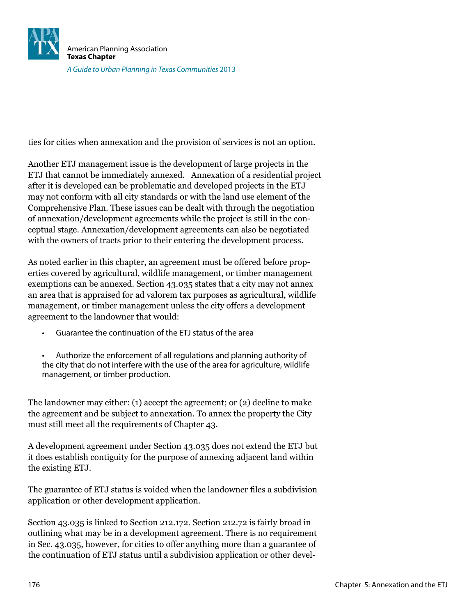

ties for cities when annexation and the provision of services is not an option.

Another ETJ management issue is the development of large projects in the ETJ that cannot be immediately annexed. Annexation of a residential project after it is developed can be problematic and developed projects in the ETJ may not conform with all city standards or with the land use element of the Comprehensive Plan. These issues can be dealt with through the negotiation of annexation/development agreements while the project is still in the conceptual stage. Annexation/development agreements can also be negotiated with the owners of tracts prior to their entering the development process.

As noted earlier in this chapter, an agreement must be offered before properties covered by agricultural, wildlife management, or timber management exemptions can be annexed. Section 43.035 states that a city may not annex an area that is appraised for ad valorem tax purposes as agricultural, wildlife management, or timber management unless the city offers a development agreement to the landowner that would:

- Guarantee the continuation of the ETJ status of the area
- Authorize the enforcement of all regulations and planning authority of the city that do not interfere with the use of the area for agriculture, wildlife management, or timber production.

The landowner may either: (1) accept the agreement; or (2) decline to make the agreement and be subject to annexation. To annex the property the City must still meet all the requirements of Chapter 43.

A development agreement under Section 43.035 does not extend the ETJ but it does establish contiguity for the purpose of annexing adjacent land within the existing ETJ.

The guarantee of ETJ status is voided when the landowner iles a subdivision application or other development application.

Section 43.035 is linked to Section 212.172. Section 212.72 is fairly broad in outlining what may be in a development agreement. There is no requirement in Sec. 43.035, however, for cities to offer anything more than a guarantee of the continuation of ETJ status until a subdivision application or other devel-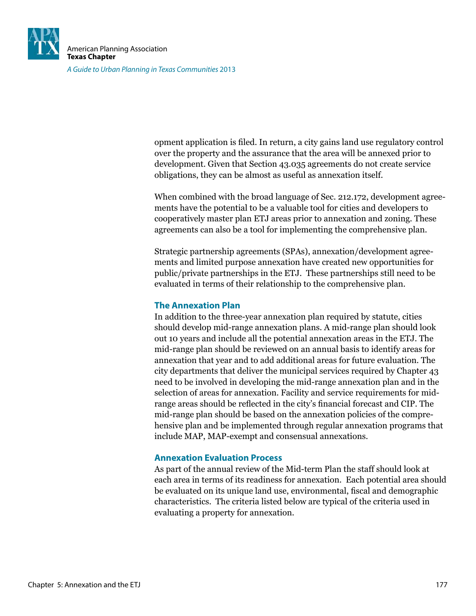

opment application is iled. In return, a city gains land use regulatory control over the property and the assurance that the area will be annexed prior to development. Given that Section 43.035 agreements do not create service obligations, they can be almost as useful as annexation itself.

When combined with the broad language of Sec. 212.172, development agreements have the potential to be a valuable tool for cities and developers to cooperatively master plan ETJ areas prior to annexation and zoning. These agreements can also be a tool for implementing the comprehensive plan.

Strategic partnership agreements (SPAs), annexation/development agreements and limited purpose annexation have created new opportunities for public/private partnerships in the ETJ. These partnerships still need to be evaluated in terms of their relationship to the comprehensive plan.

### **The Annexation Plan**

In addition to the three-year annexation plan required by statute, cities should develop mid-range annexation plans. A mid-range plan should look out 10 years and include all the potential annexation areas in the ETJ. The mid-range plan should be reviewed on an annual basis to identify areas for annexation that year and to add additional areas for future evaluation. The city departments that deliver the municipal services required by Chapter 43 need to be involved in developing the mid-range annexation plan and in the selection of areas for annexation. Facility and service requirements for midrange areas should be reflected in the city's financial forecast and CIP. The mid-range plan should be based on the annexation policies of the comprehensive plan and be implemented through regular annexation programs that include MAP, MAP-exempt and consensual annexations.

### **Annexation Evaluation Process**

As part of the annual review of the Mid-term Plan the staff should look at each area in terms of its readiness for annexation. Each potential area should be evaluated on its unique land use, environmental, iscal and demographic characteristics. The criteria listed below are typical of the criteria used in evaluating a property for annexation.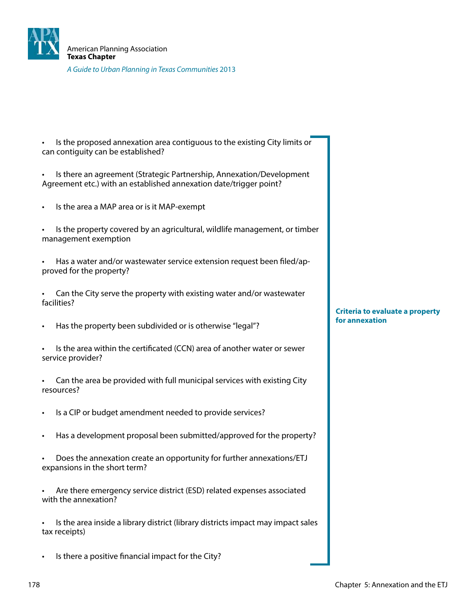

Is the proposed annexation area contiguous to the existing City limits or can contiguity can be established?

Is there an agreement (Strategic Partnership, Annexation/Development Agreement etc.) with an established annexation date/trigger point?

- Is the area a MAP area or is it MAP-exempt
- Is the property covered by an agricultural, wildlife management, or timber management exemption
- Has a water and/or wastewater service extension request been filed/approved for the property?
- Can the City serve the property with existing water and/or wastewater facilities?
- Has the property been subdivided or is otherwise "legal"?
- Is the area within the certificated (CCN) area of another water or sewer service provider?

Can the area be provided with full municipal services with existing City resources?

- Is a CIP or budget amendment needed to provide services?
- Has a development proposal been submitted/approved for the property?
- Does the annexation create an opportunity for further annexations/ETJ expansions in the short term?
- Are there emergency service district (ESD) related expenses associated with the annexation?

Is the area inside a library district (library districts impact may impact sales tax receipts)

Is there a positive financial impact for the City?

**Criteria to evaluate a property for annexation**